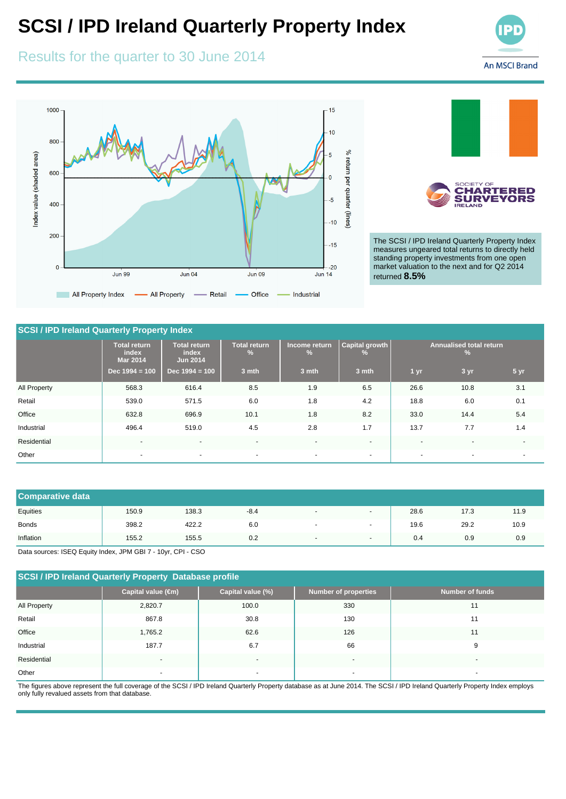# **SCSI / IPD Ireland Quarterly Property Index**

## Results for the quarter to 30 June 2014





The SCSI / IPD Ireland Quarterly Property Index measures ungeared total returns to directly held standing property investments from one open market valuation to the next and for Q2 2014 returned **8.5%**

### **SCSI / IPD Ireland Quarterly Property Index**

|              | <b>Total return</b><br>index<br><b>Mar 2014</b> | Total return<br>index<br><b>Jun 2014</b> | <b>Total return</b><br>$\frac{9}{6}$ | Income return<br>$\frac{9}{6}$ | Capital growth<br>$\frac{9}{6}$ | <b>Annualised total return</b><br>$\frac{9}{6}$ |                          |                          |
|--------------|-------------------------------------------------|------------------------------------------|--------------------------------------|--------------------------------|---------------------------------|-------------------------------------------------|--------------------------|--------------------------|
|              | Dec $1994 = 100$                                | Dec $1994 = 100$                         | 3 mth                                | 3 mth                          | 3 mth                           | 1 yr                                            | 3 yr                     | 5 <sub>yr</sub>          |
| All Property | 568.3                                           | 616.4                                    | 8.5                                  | 1.9                            | 6.5                             | 26.6                                            | 10.8                     | 3.1                      |
| Retail       | 539.0                                           | 571.5                                    | 6.0                                  | 1.8                            | 4.2                             | 18.8                                            | 6.0                      | 0.1                      |
| Office       | 632.8                                           | 696.9                                    | 10.1                                 | 1.8                            | 8.2                             | 33.0                                            | 14.4                     | 5.4                      |
| Industrial   | 496.4                                           | 519.0                                    | 4.5                                  | 2.8                            | 1.7                             | 13.7                                            | 7.7                      | 1.4                      |
| Residential  | $\blacksquare$                                  | $\overline{\phantom{a}}$                 | $\overline{\phantom{0}}$             | $\blacksquare$                 | $\blacksquare$                  | $\overline{\phantom{0}}$                        | $\overline{\phantom{a}}$ | $\blacksquare$           |
| Other        | $\overline{\phantom{a}}$                        | $\sim$                                   | $\sim$                               | $\sim$                         | $\blacksquare$                  | $\overline{\phantom{0}}$                        | $\sim$                   | $\overline{\phantom{a}}$ |

| <b>Comparative data</b> |       |       |        |                          |                          |      |      |      |
|-------------------------|-------|-------|--------|--------------------------|--------------------------|------|------|------|
| Equities                | 150.9 | 138.3 | $-8.4$ | $\blacksquare$           | $\overline{\phantom{a}}$ | 28.6 | 17.3 | 11.9 |
| <b>Bonds</b>            | 398.2 | 422.2 | 6.0    |                          |                          | 19.6 | 29.2 | 10.9 |
| Inflation               | 155.2 | 155.5 | 0.2    | $\overline{\phantom{a}}$ | $\overline{\phantom{a}}$ | 0.4  | 0.9  | 0.9  |

Data sources: ISEQ Equity Index, JPM GBI 7 - 10yr, CPI - CSO

## **SCSI / IPD Ireland Quarterly Property Database profile**

|              | Capital value (€m)       | Capital value (%)        | <b>Number of properties</b> | <b>Number of funds</b>   |
|--------------|--------------------------|--------------------------|-----------------------------|--------------------------|
| All Property | 2,820.7                  | 100.0                    | 330                         | 11                       |
| Retail       | 867.8                    | 30.8                     | 130                         | 11                       |
| Office       | 1,765.2                  | 62.6                     | 126                         | 11                       |
| Industrial   | 187.7                    | 6.7                      | 66                          | 9                        |
| Residential  | $\overline{\phantom{a}}$ | $\overline{\phantom{0}}$ | $\overline{\phantom{a}}$    | $\overline{\phantom{0}}$ |
| Other        | $\overline{\phantom{0}}$ |                          | $\overline{\phantom{a}}$    |                          |

The figures above represent the full coverage of the SCSI / IPD Ireland Quarterly Property database as at June 2014. The SCSI / IPD Ireland Quarterly Property Index employs only fully revalued assets from that database.